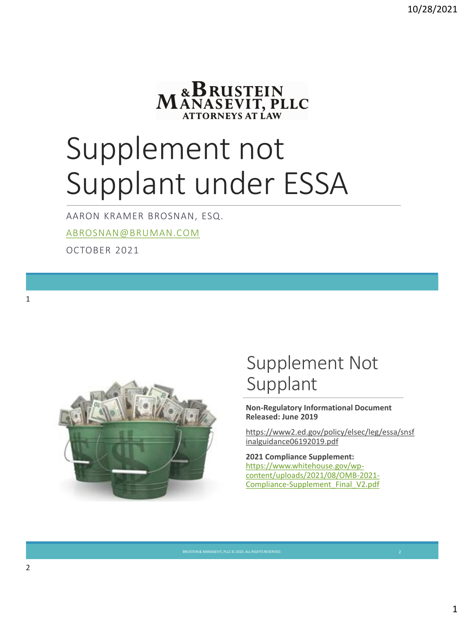

# Supplement not Supplant under ESSA

AARON KRAMER BROSNAN, ESQ.

[ABROSNAN@BRUMAN.COM](mailto:abrosnan@bruman.com)

OCTOBER 2021



#### Supplement Not Supplant

**Non-Regulatory Informational Document Released: June 2019**

[https://www2.ed.gov/policy/elsec/leg/essa/snsf](https://www2.ed.gov/policy/elsec/leg/essa/snsfinalguidance06192019.pdf) inalguidance06192019.pdf

**2021 Compliance Supplement:**  https://www.whitehouse.gov/wp[content/uploads/2021/08/OMB-2021-](https://www.whitehouse.gov/wp-content/uploads/2021/08/OMB-2021-Compliance-Supplement_Final_V2.pdf) Compliance-Supplement\_Final\_V2.pdf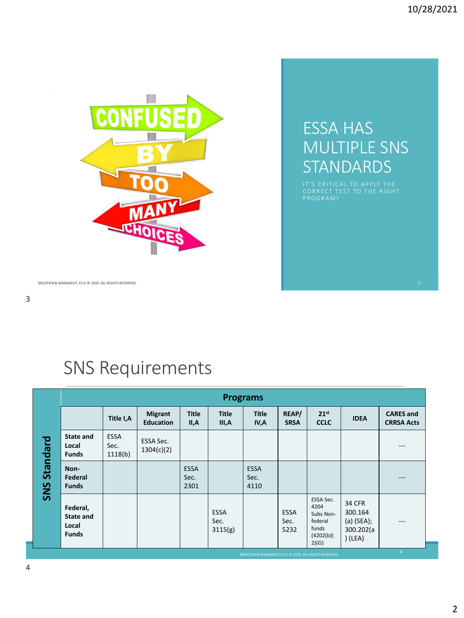

#### ESSA HAS MULTIPLE SNS **STANDARDS**

P R O G R A M !

BRUSTEIN & MANASEVIT, PLLC © 2020. ALL RIGHTS RESERVED. 3

#### SNS Requirements

| <b>Title</b><br><b>Title</b><br><b>Title</b><br>REAP/<br>21 <sup>st</sup><br><b>Migrant</b><br><b>CARES</b> and<br>Title I,A<br><b>IDEA</b><br><b>Education</b><br><b>CCLC</b><br><b>SRSA</b><br><b>CRRSA Acts</b><br>II,A<br>III,A<br>IV,A<br><b>ESSA</b><br><b>State and</b><br>Standard<br>ESSA Sec.<br>Sec.<br>Local<br>---<br>1304(c)(2)<br>1118(b)<br><b>Funds</b><br><b>ESSA</b><br><b>ESSA</b><br>Non-<br>Sec.<br>Federal<br>Sec.<br>---<br>SNS<br>2301<br>4110<br><b>Funds</b><br>ESSA Sec.<br><b>34 CFR</b><br>4204<br>Federal,<br><b>ESSA</b><br><b>ESSA</b><br>300.164<br>Subs Non-<br><b>State and</b><br>$(a)$ (SEA);<br>Sec.<br>Sec.<br>federal<br>$---$<br>Local<br>funds<br>300.202(a<br>3115(g)<br>5232<br><b>Funds</b><br>(4202(b))<br>(LEA)<br>2)(G) |  | <b>Programs</b> |  |  |  |  |  |  |  |  |  |
|--------------------------------------------------------------------------------------------------------------------------------------------------------------------------------------------------------------------------------------------------------------------------------------------------------------------------------------------------------------------------------------------------------------------------------------------------------------------------------------------------------------------------------------------------------------------------------------------------------------------------------------------------------------------------------------------------------------------------------------------------------------------------|--|-----------------|--|--|--|--|--|--|--|--|--|
|                                                                                                                                                                                                                                                                                                                                                                                                                                                                                                                                                                                                                                                                                                                                                                          |  |                 |  |  |  |  |  |  |  |  |  |
|                                                                                                                                                                                                                                                                                                                                                                                                                                                                                                                                                                                                                                                                                                                                                                          |  |                 |  |  |  |  |  |  |  |  |  |
|                                                                                                                                                                                                                                                                                                                                                                                                                                                                                                                                                                                                                                                                                                                                                                          |  |                 |  |  |  |  |  |  |  |  |  |
|                                                                                                                                                                                                                                                                                                                                                                                                                                                                                                                                                                                                                                                                                                                                                                          |  |                 |  |  |  |  |  |  |  |  |  |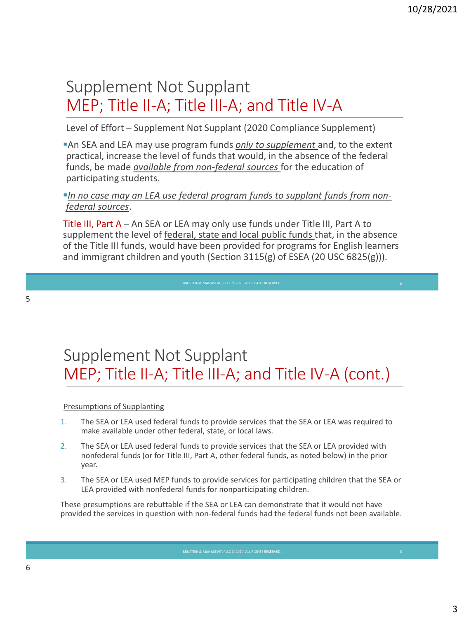#### Supplement Not Supplant MEP; Title II-A; Title III-A; and Title IV-A

Level of Effort – Supplement Not Supplant (2020 Compliance Supplement)

▪An SEA and LEA may use program funds *only to supplement* and, to the extent practical, increase the level of funds that would, in the absence of the federal funds, be made *available from non-federal sources* for the education of participating students.

**In no case may an LEA use federal program funds to supplant funds from non***federal sources*.

Title III, Part A – An SEA or LEA may only use funds under Title III, Part A to supplement the level of federal, state and local public funds that, in the absence of the Title III funds, would have been provided for programs for English learners and immigrant children and youth (Section  $3115(g)$  of ESEA (20 USC 6825(g))).

BRUSTEIN & MANASEVIT, PLLC © 2020. ALL RIGHTS RESERVED

#### Supplement Not Supplant MEP; Title II-A; Title III-A; and Title IV-A (cont.)

#### Presumptions of Supplanting

- 1. The SEA or LEA used federal funds to provide services that the SEA or LEA was required to make available under other federal, state, or local laws.
- 2. The SEA or LEA used federal funds to provide services that the SEA or LEA provided with nonfederal funds (or for Title III, Part A, other federal funds, as noted below) in the prior year.
- 3. The SEA or LEA used MEP funds to provide services for participating children that the SEA or LEA provided with nonfederal funds for nonparticipating children.

These presumptions are rebuttable if the SEA or LEA can demonstrate that it would not have provided the services in question with non-federal funds had the federal funds not been available.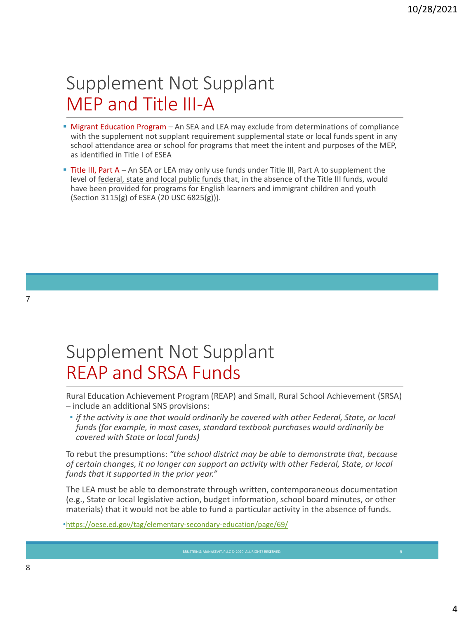## Supplement Not Supplant MEP and Title III-A

- **EX Migrant Education Program** An SEA and LEA may exclude from determinations of compliance with the supplement not supplant requirement supplemental state or local funds spent in any school attendance area or school for programs that meet the intent and purposes of the MEP, as identified in Title I of ESEA
- **. Title III, Part A** An SEA or LEA may only use funds under Title III, Part A to supplement the level of federal, state and local public funds that, in the absence of the Title III funds, would have been provided for programs for English learners and immigrant children and youth (Section 3115(g) of ESEA (20 USC 6825(g))).

### Supplement Not Supplant REAP and SRSA Funds

Rural Education Achievement Program (REAP) and Small, Rural School Achievement (SRSA) – include an additional SNS provisions:

• *if the activity is one that would ordinarily be covered with other Federal, State, or local funds (for example, in most cases, standard textbook purchases would ordinarily be covered with State or local funds)*

To rebut the presumptions: *"the school district may be able to demonstrate that, because of certain changes, it no longer can support an activity with other Federal, State, or local funds that it supported in the prior year."* 

The LEA must be able to demonstrate through written, contemporaneous documentation (e.g., State or local legislative action, budget information, school board minutes, or other materials) that it would not be able to fund a particular activity in the absence of funds.

•<https://oese.ed.gov/tag/elementary-secondary-education/page/69/>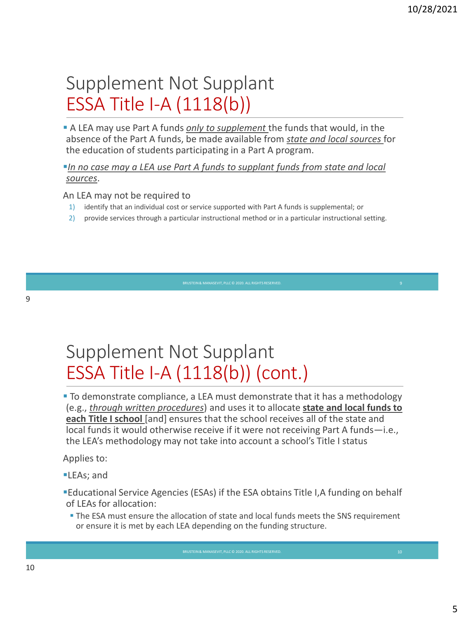## Supplement Not Supplant ESSA Title I-A (1118(b))

**A** LEA may use Part A funds *only to supplement* the funds that would, in the absence of the Part A funds, be made available from *state and local sources* for the education of students participating in a Part A program.

*In no case may a LEA use Part A funds to supplant funds from state and local sources*.

An LEA may not be required to

- 1) identify that an individual cost or service supported with Part A funds is supplemental; or
- 2) provide services through a particular instructional method or in a particular instructional setting.

BRUSTEIN & MANASEVIT, PLLC © 2020, ALL RIGHTS RESERVED

## Supplement Not Supplant ESSA Title I-A (1118(b)) (cont.)

▪ To demonstrate compliance, a LEA must demonstrate that it has a methodology (e.g., *through written procedures*) and uses it to allocate **state and local funds to each Title I school** [and] ensures that the school receives all of the state and local funds it would otherwise receive if it were not receiving Part A funds—i.e., the LEA's methodology may not take into account a school's Title I status

Applies to:

- **ELEAs**; and
- ▪Educational Service Agencies (ESAs) if the ESA obtains Title I,A funding on behalf of LEAs for allocation:
- **The ESA must ensure the allocation of state and local funds meets the SNS requirement** or ensure it is met by each LEA depending on the funding structure.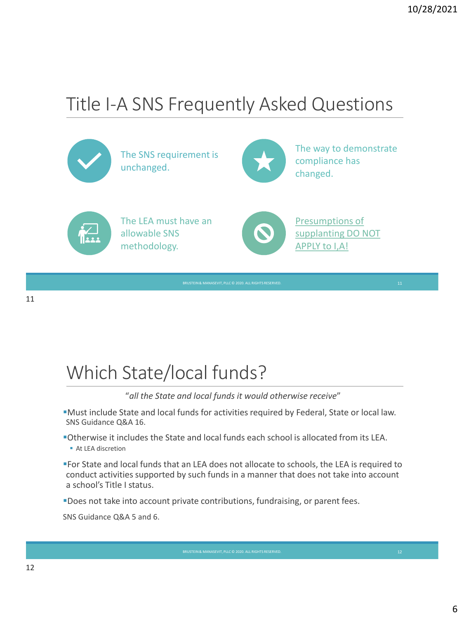## Title I-A SNS Frequently Asked Questions



The SNS requirement is unchanged.



The way to demonstrate compliance has changed.



The LEA must have an allowable SNS methodology.



Presumptions of supplanting DO NOT APPLY to I,A!

## Which State/local funds?

"*all the State and local funds it would otherwise receive*"

▪Must include State and local funds for activities required by Federal, State or local law. SNS Guidance Q&A 16.

▪Otherwise it includes the State and local funds each school is allocated from its LEA.

■ At LEA discretion

▪For State and local funds that an LEA does not allocate to schools, the LEA is required to conduct activities supported by such funds in a manner that does not take into account a school's Title I status.

**"**Does not take into account private contributions, fundraising, or parent fees.

SNS Guidance Q&A 5 and 6.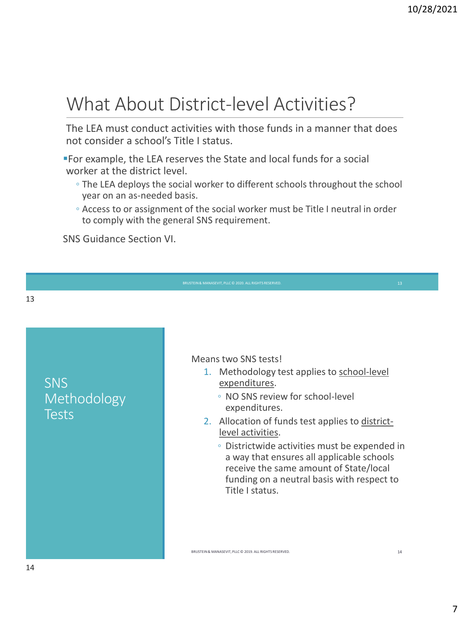## What About District-level Activities?

The LEA must conduct activities with those funds in a manner that does not consider a school's Title I status.

▪For example, the LEA reserves the State and local funds for a social worker at the district level.

- The LEA deploys the social worker to different schools throughout the school year on an as-needed basis.
- Access to or assignment of the social worker must be Title I neutral in order to comply with the general SNS requirement.

SNS Guidance Section VI.

SNS Methodology **Tests** 

Means two SNS tests!

- 1. Methodology test applies to school-level expenditures.
	- NO SNS review for school-level expenditures.
- 2. Allocation of funds test applies to districtlevel activities.
	- Districtwide activities must be expended in a way that ensures all applicable schools receive the same amount of State/local funding on a neutral basis with respect to Title I status.

BRUSTEIN & MANASEVIT, PLLC © 2019. ALL RIGHTS RESERVED. 14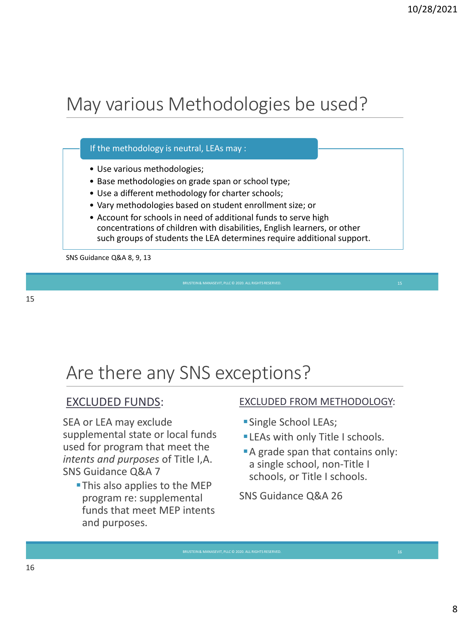## May various Methodologies be used?

#### If the methodology is neutral, LEAs may :

- Use various methodologies;
- Base methodologies on grade span or school type;
- Use a different methodology for charter schools;
- Vary methodologies based on student enrollment size; or
- Account for schools in need of additional funds to serve high concentrations of children with disabilities, English learners, or other such groups of students the LEA determines require additional support.

SNS Guidance Q&A 8, 9, 13

#### 15

### Are there any SNS exceptions?

#### EXCLUDED FUNDS:

SEA or LEA may exclude supplemental state or local funds used for program that meet the *intents and purposes* of Title I,A. SNS Guidance Q&A 7

**This also applies to the MEP** program re: supplemental funds that meet MEP intents and purposes.

#### EXCLUDED FROM METHODOLOGY:

- **Single School LEAs;**
- **ELEAs with only Title I schools.**
- A grade span that contains only: a single school, non-Title I schools, or Title I schools.

SNS Guidance Q&A 26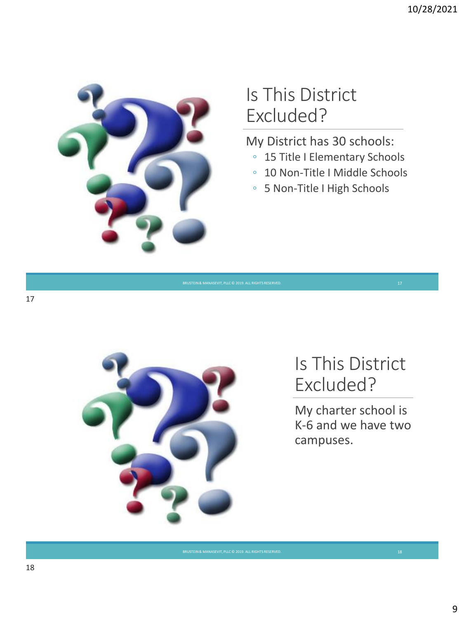

### Is This District Excluded?

My District has 30 schools:

- 15 Title I Elementary Schools
- 10 Non-Title I Middle Schools
- 5 Non-Title I High Schools





#### Is This District Excluded?

My charter school is K-6 and we have two campuses.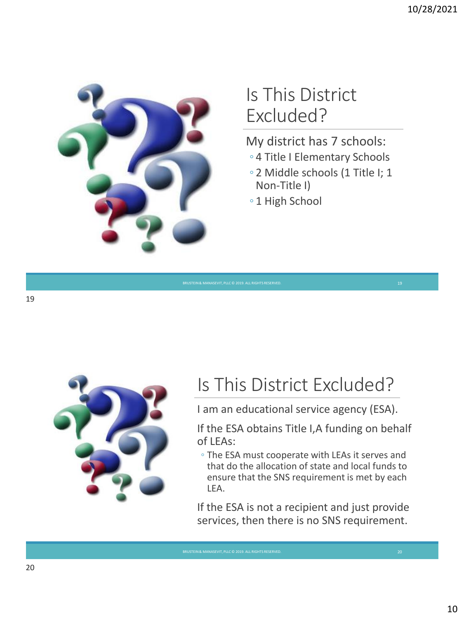

### Is This District Excluded?

My district has 7 schools:

- 4 Title I Elementary Schools
- 2 Middle schools (1 Title I; 1 Non-Title I)

◦ 1 High School



## Is This District Excluded?

I am an educational service agency (ESA).

If the ESA obtains Title I,A funding on behalf of LEAs:

◦ The ESA must cooperate with LEAs it serves and that do the allocation of state and local funds to ensure that the SNS requirement is met by each LEA.

If the ESA is not a recipient and just provide services, then there is no SNS requirement.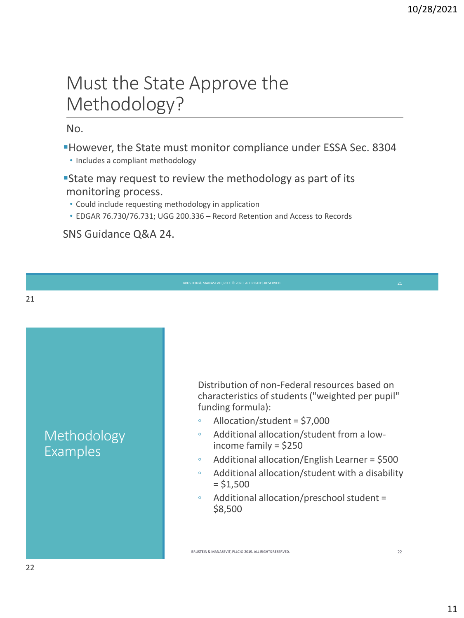### Must the State Approve the Methodology?

#### No.

- ▪However, the State must monitor compliance under ESSA Sec. 8304
	- Includes a compliant methodology
- **State may request to review the methodology as part of its** monitoring process.
	- Could include requesting methodology in application
	- EDGAR 76.730/76.731; UGG 200.336 Record Retention and Access to Records

SNS Guidance Q&A 24.

Methodology Examples

Distribution of non-Federal resources based on characteristics of students ("weighted per pupil" funding formula):

- Allocation/student = \$7,000
- Additional allocation/student from a lowincome family = \$250
- Additional allocation/English Learner = \$500
- Additional allocation/student with a disability  $= $1,500$
- Additional allocation/preschool student = \$8,500

BRUSTEIN & MANASEVIT, PLLC © 2019. ALL RIGHTS RESERVED. 22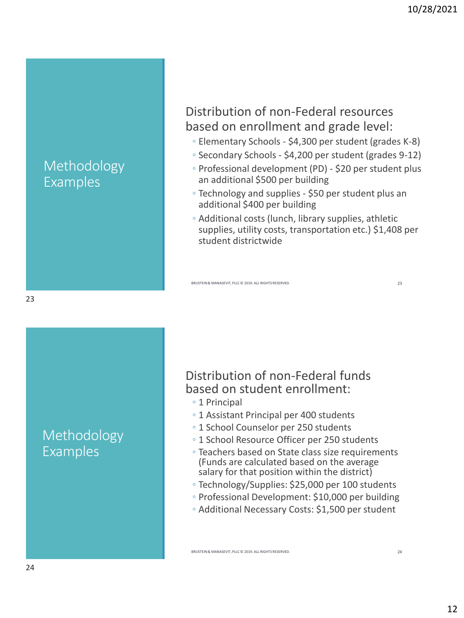#### Methodology Examples

#### Distribution of non-Federal resources based on enrollment and grade level:

- Elementary Schools \$4,300 per student (grades K-8)
- Secondary Schools \$4,200 per student (grades 9-12)
- Professional development (PD) \$20 per student plus an additional \$500 per building
- Technology and supplies \$50 per student plus an additional \$400 per building
- Additional costs (lunch, library supplies, athletic supplies, utility costs, transportation etc.) \$1,408 per student districtwide

BRUSTEIN & MANASEVIT, PLLC © 2019. ALL RIGHTS RESERVED. 23

#### 23

Methodology Examples

#### Distribution of non-Federal funds based on student enrollment:

- 1 Principal
- 1 Assistant Principal per 400 students
- 1 School Counselor per 250 students
- 1 School Resource Officer per 250 students
- Teachers based on State class size requirements (Funds are calculated based on the average salary for that position within the district)
- Technology/Supplies: \$25,000 per 100 students
- Professional Development: \$10,000 per building
- Additional Necessary Costs: \$1,500 per student

BRUSTEIN & MANASEVIT, PLLC © 2019. ALL RIGHTS RESERVED. 24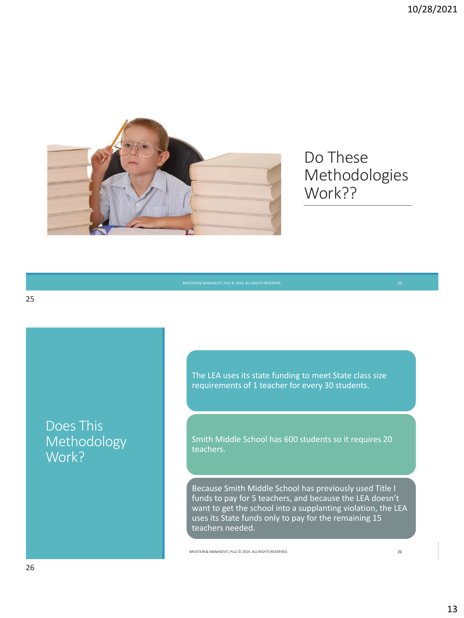

#### Do These Methodologies Work??

Does This Methodology Work?

The LEA uses its state funding to meet State class size requirements of 1 teacher for every 30 students.

Smith Middle School has 600 students so it requires 20 teachers.

Because Smith Middle School has previously used Title I funds to pay for 5 teachers, and because the LEA doesn't want to get the school into a supplanting violation, the LEA uses its State funds only to pay for the remaining 15 teachers needed.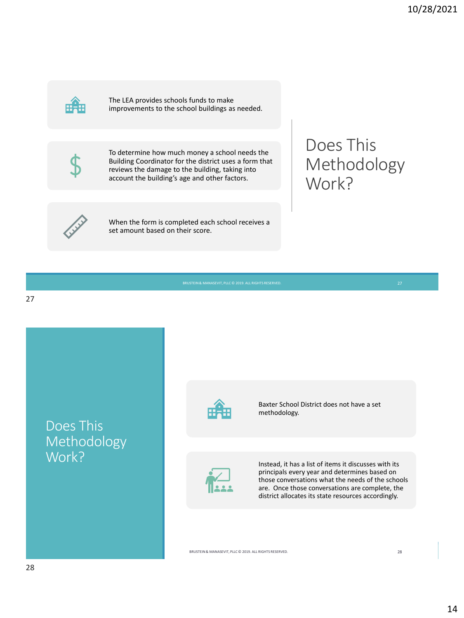

The LEA provides schools funds to make improvements to the school buildings as needed.



To determine how much money a school needs the Building Coordinator for the district uses a form that reviews the damage to the building, taking into account the building's age and other factors.

When the form is completed each school receives a set amount based on their score.

#### Does This Methodology Work?

Does This Methodology Work? BRUSTEIN & MANASEVIT, PLLC © 2019. ALL RIGHTS RESERVED. 28 Baxter School District does not have a set methodology. Instead, it has a list of items it discusses with its principals every year and determines based on those conversations what the needs of the schools are. Once those conversations are complete, the district allocates its state resources accordingly.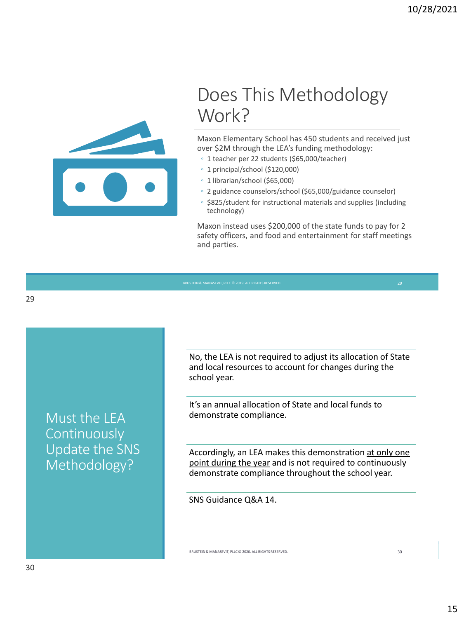

### Does This Methodology Work?

Maxon Elementary School has 450 students and received just over \$2M through the LEA's funding methodology:

- 1 teacher per 22 students (\$65,000/teacher)
- 1 principal/school (\$120,000)
- 1 librarian/school (\$65,000)
- 2 guidance counselors/school (\$65,000/guidance counselor)
- \$825/student for instructional materials and supplies (including technology)

Maxon instead uses \$200,000 of the state funds to pay for 2 safety officers, and food and entertainment for staff meetings and parties.

Must the LEA Continuously Update the SNS Methodology?

No, the LEA is not required to adjust its allocation of State and local resources to account for changes during the school year.

It's an annual allocation of State and local funds to demonstrate compliance.

Accordingly, an LEA makes this demonstration at only one point during the year and is not required to continuously demonstrate compliance throughout the school year.

BRUSTEIN & MANASEVIT, PLLC © 2020. ALL RIGHTS RESERVED. 30

SNS Guidance Q&A 14.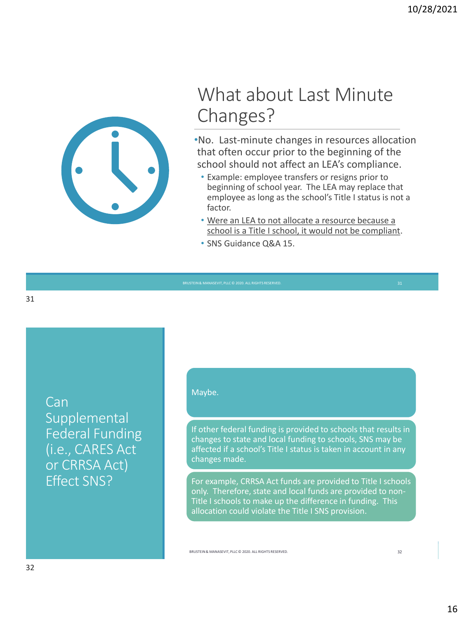

### What about Last Minute Changes?

•No. Last-minute changes in resources allocation that often occur prior to the beginning of the school should not affect an LEA's compliance.

- Example: employee transfers or resigns prior to beginning of school year. The LEA may replace that employee as long as the school's Title I status is not a factor.
- Were an LEA to not allocate a resource because a school is a Title I school, it would not be compliant.
- SNS Guidance Q&A 15.

31

**Can** Supplemental Federal Funding (i.e., CARES Act or CRRSA Act) Effect SNS?

#### Maybe.

If other federal funding is provided to schools that results in changes to state and local funding to schools, SNS may be affected if a school's Title I status is taken in account in any changes made.

For example, CRRSA Act funds are provided to Title I schools only. Therefore, state and local funds are provided to non-Title I schools to make up the difference in funding. This allocation could violate the Title I SNS provision.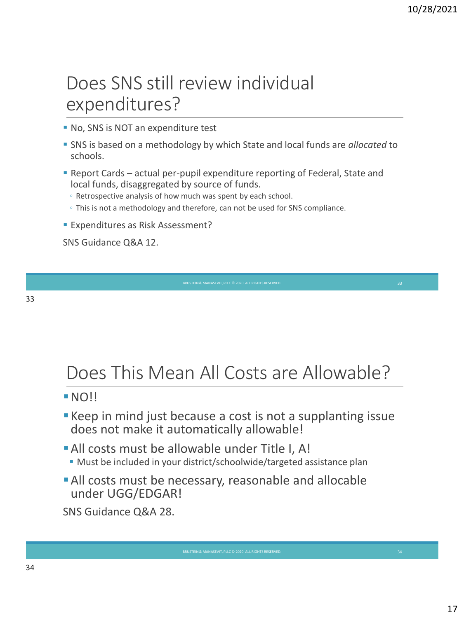### Does SNS still review individual expenditures?

- No, SNS is NOT an expenditure test
- SNS is based on a methodology by which State and local funds are *allocated* to schools.
- **Report Cards actual per-pupil expenditure reporting of Federal, State and** local funds, disaggregated by source of funds.
	- Retrospective analysis of how much was spent by each school.
	- This is not a methodology and therefore, can not be used for SNS compliance.
- **Expenditures as Risk Assessment?**

SNS Guidance Q&A 12.

#### 33

### Does This Mean All Costs are Allowable?

#### $N$

- **Example 1** Keep in mind just because a cost is not a supplanting issue does not make it automatically allowable!
- **All costs must be allowable under Title I, A!** ■ Must be included in your district/schoolwide/targeted assistance plan
- **All costs must be necessary, reasonable and allocable** under UGG/EDGAR!

SNS Guidance Q&A 28.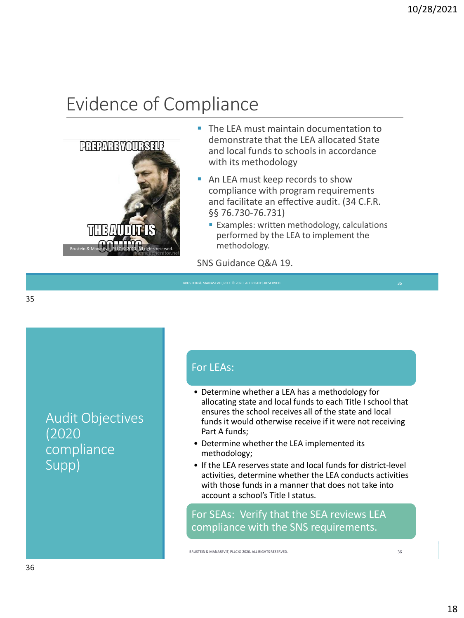## Evidence of Compliance



- **The LEA must maintain documentation to** demonstrate that the LEA allocated State and local funds to schools in accordance with its methodology
- An LEA must keep records to show compliance with program requirements and facilitate an effective audit. (34 C.F.R. §§ 76.730-76.731)
	- **Examples: written methodology, calculations** performed by the LEA to implement the methodology.

SNS Guidance Q&A 19.

35

Audit Objectives (2020 compliance Supp)

#### For LEAs:

- Determine whether a LEA has a methodology for allocating state and local funds to each Title I school that ensures the school receives all of the state and local funds it would otherwise receive if it were not receiving Part A funds;
- Determine whether the LEA implemented its methodology;
- If the LEA reserves state and local funds for district-level activities, determine whether the LEA conducts activities with those funds in a manner that does not take into account a school's Title I status.

For SEAs: Verify that the SEA reviews LEA compliance with the SNS requirements.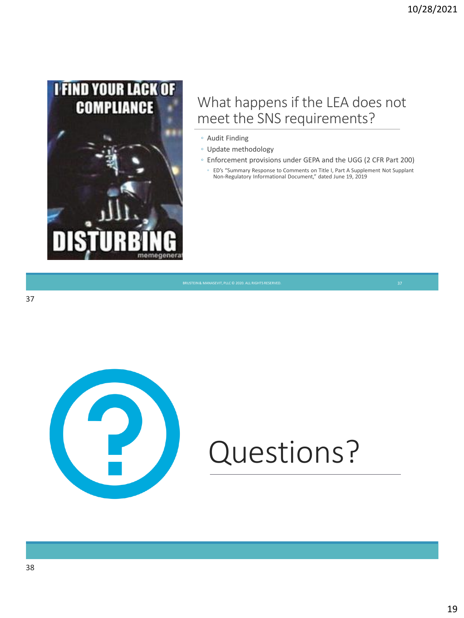

#### What happens if the LEA does not meet the SNS requirements?

- Audit Finding
- Update methodology
- Enforcement provisions under GEPA and the UGG (2 CFR Part 200)
	- ED's "Summary Response to Comments on Title I, Part A Supplement Not Supplant Non-Regulatory Informational Document," dated June 19, 2019



# Questions?